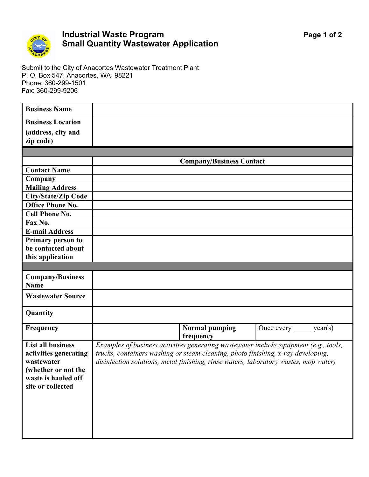

## **Industrial Waste Program Page 1 of 2 Small Quantity Wastewater Application**

Submit to the City of Anacortes Wastewater Treatment Plant P. O. Box 547, Anacortes, WA 98221 Phone: 360-299-1501 Fax: 360-299-9206

| <b>Business Name</b>            |                                                                                       |                              |
|---------------------------------|---------------------------------------------------------------------------------------|------------------------------|
| <b>Business Location</b>        |                                                                                       |                              |
| (address, city and              |                                                                                       |                              |
| zip code)                       |                                                                                       |                              |
|                                 |                                                                                       |                              |
|                                 | <b>Company/Business Contact</b>                                                       |                              |
| <b>Contact Name</b>             |                                                                                       |                              |
| Company                         |                                                                                       |                              |
| <b>Mailing Address</b>          |                                                                                       |                              |
| <b>City/State/Zip Code</b>      |                                                                                       |                              |
| <b>Office Phone No.</b>         |                                                                                       |                              |
| <b>Cell Phone No.</b>           |                                                                                       |                              |
| Fax No.                         |                                                                                       |                              |
| <b>E-mail Address</b>           |                                                                                       |                              |
| Primary person to               |                                                                                       |                              |
| be contacted about              |                                                                                       |                              |
| this application                |                                                                                       |                              |
|                                 |                                                                                       |                              |
| <b>Company/Business</b><br>Name |                                                                                       |                              |
| <b>Wastewater Source</b>        |                                                                                       |                              |
| Quantity                        |                                                                                       |                              |
| Frequency                       | <b>Normal pumping</b><br>frequency                                                    | Once every $\_\_\_\$ year(s) |
| <b>List all business</b>        | Examples of business activities generating wastewater include equipment (e.g., tools, |                              |
| activities generating           | trucks, containers washing or steam cleaning, photo finishing, x-ray developing,      |                              |
| wastewater                      | disinfection solutions, metal finishing, rinse waters, laboratory wastes, mop water)  |                              |
| (whether or not the             |                                                                                       |                              |
| waste is hauled off             |                                                                                       |                              |
| site or collected               |                                                                                       |                              |
|                                 |                                                                                       |                              |
|                                 |                                                                                       |                              |
|                                 |                                                                                       |                              |
|                                 |                                                                                       |                              |
|                                 |                                                                                       |                              |